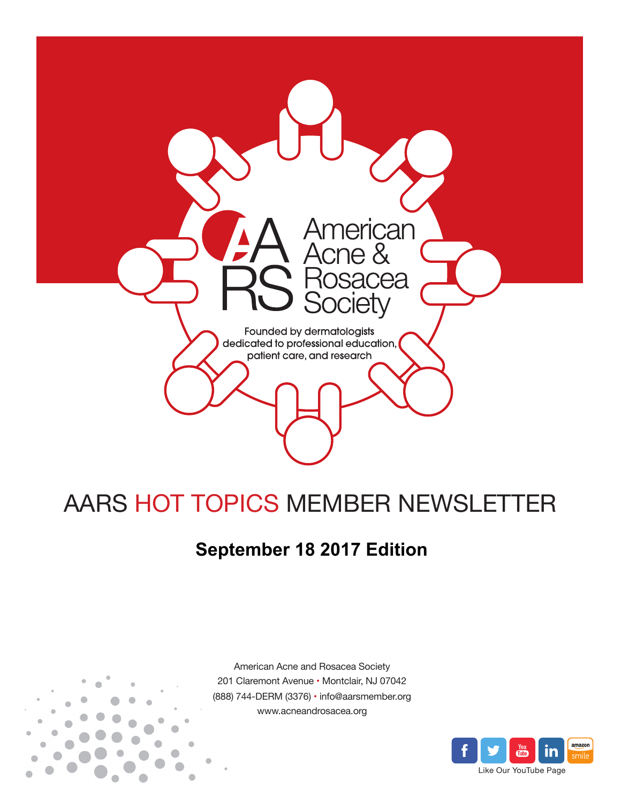

# AARS HOT TOPICS MEMBER NEWSLETTER

## **September 18 2017 Edition**



American Acne and Rosacea Society 201 Claremont Avenue • Montclair, NJ 07042 (888) 744-DERM (3376) • info@aarsmember.org www.acneandrosacea.org

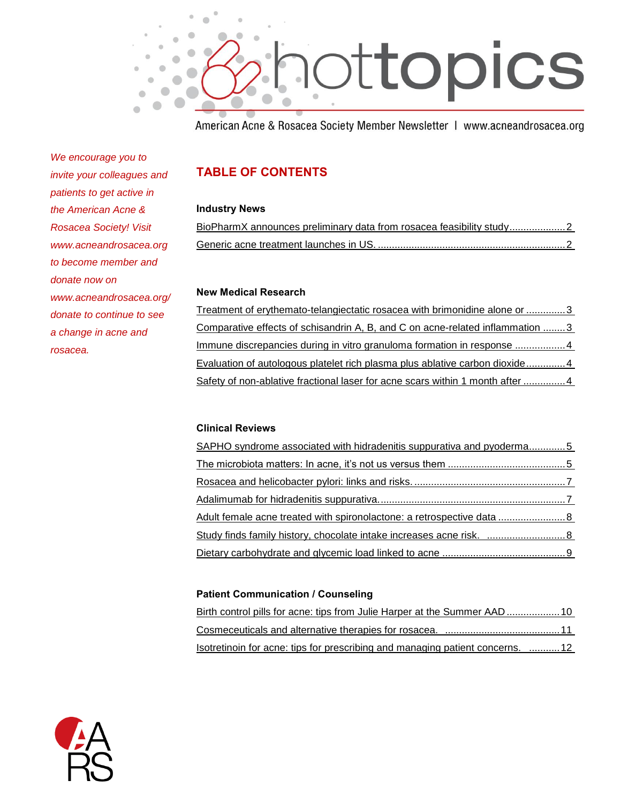

American Acne & Rosacea Society Member Newsletter | www.acneandrosacea.org

*We encourage you to invite your colleagues and patients to get active in the American Acne & Rosacea Society! Visit www.acneandrosacea.org to become member and donate now on www.acneandrosacea.org/ donate to continue to see a change in acne and rosacea.*

### **TABLE OF CONTENTS**

### **Industry News**

| BioPharmX announces preliminary data from rosacea feasibility study2 |  |  |
|----------------------------------------------------------------------|--|--|
|                                                                      |  |  |

### **New Medical Research**

[Treatment of erythemato-telangiectatic rosacea with brimonidine alone or](#page-3-0) ..............3 [Comparative effects of schisandrin A, B, and C on acne-related inflammation](#page-3-1) ........3 [Immune discrepancies during in vitro granuloma formation in response](#page-4-0) ..................4 [Evaluation of autologous platelet rich plasma plus ablative carbon dioxide..............4](#page-4-1) [Safety of non-ablative fractional laser for acne scars within 1 month after](#page-4-2) ............... 4

### **Clinical Reviews**

<span id="page-1-0"></span>

### **Patient Communication / Counseling**

| <u>Isotretinoin for acne: tips for prescribing and managing patient concerns. 12</u> |  |
|--------------------------------------------------------------------------------------|--|

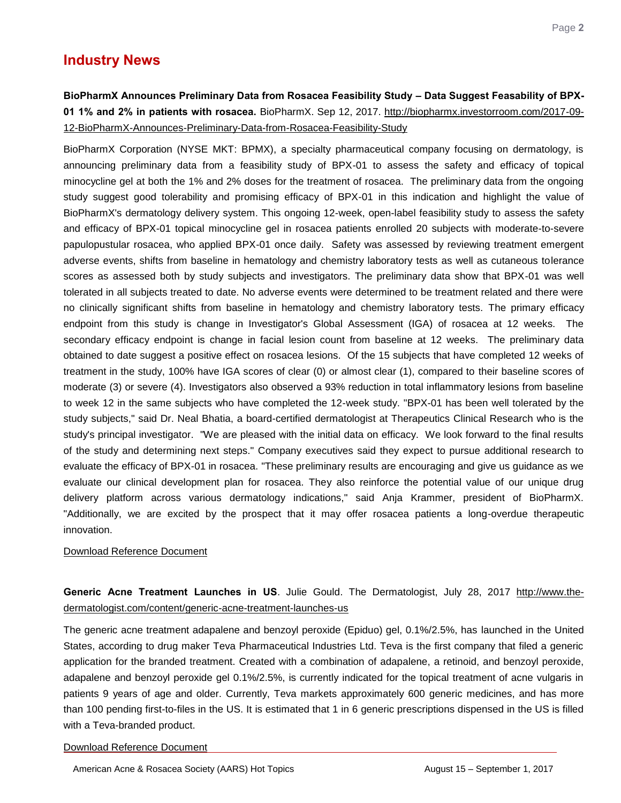### **Industry News**

<span id="page-2-0"></span>**BioPharmX Announces Preliminary Data from Rosacea Feasibility Study – Data Suggest Feasability of BPX-01 1% and 2% in patients with rosacea.** BioPharmX. Sep 12, 2017. [http://biopharmx.investorroom.com/2017-09-](http://biopharmx.investorroom.com/2017-09-12-BioPharmX-Announces-Preliminary-Data-from-Rosacea-Feasibility-Study) [12-BioPharmX-Announces-Preliminary-Data-from-Rosacea-Feasibility-Study](http://biopharmx.investorroom.com/2017-09-12-BioPharmX-Announces-Preliminary-Data-from-Rosacea-Feasibility-Study)

BioPharmX Corporation (NYSE MKT: BPMX), a specialty pharmaceutical company focusing on dermatology, is announcing preliminary data from a feasibility study of BPX-01 to assess the safety and efficacy of topical minocycline gel at both the 1% and 2% doses for the treatment of rosacea. The preliminary data from the ongoing study suggest good tolerability and promising efficacy of BPX-01 in this indication and highlight the value of BioPharmX's dermatology delivery system. This ongoing 12-week, open-label feasibility study to assess the safety and efficacy of BPX-01 topical minocycline gel in rosacea patients enrolled 20 subjects with moderate-to-severe papulopustular rosacea, who applied BPX-01 once daily. Safety was assessed by reviewing treatment emergent adverse events, shifts from baseline in hematology and chemistry laboratory tests as well as cutaneous tolerance scores as assessed both by study subjects and investigators. The preliminary data show that BPX-01 was well tolerated in all subjects treated to date. No adverse events were determined to be treatment related and there were no clinically significant shifts from baseline in hematology and chemistry laboratory tests. The primary efficacy endpoint from this study is change in Investigator's Global Assessment (IGA) of rosacea at 12 weeks. The secondary efficacy endpoint is change in facial lesion count from baseline at 12 weeks. The preliminary data obtained to date suggest a positive effect on rosacea lesions. Of the 15 subjects that have completed 12 weeks of treatment in the study, 100% have IGA scores of clear (0) or almost clear (1), compared to their baseline scores of moderate (3) or severe (4). Investigators also observed a 93% reduction in total inflammatory lesions from baseline to week 12 in the same subjects who have completed the 12-week study. "BPX-01 has been well tolerated by the study subjects," said Dr. Neal Bhatia, a board-certified dermatologist at Therapeutics Clinical Research who is the study's principal investigator. "We are pleased with the initial data on efficacy. We look forward to the final results of the study and determining next steps." Company executives said they expect to pursue additional research to evaluate the efficacy of BPX-01 in rosacea. "These preliminary results are encouraging and give us guidance as we evaluate our clinical development plan for rosacea. They also reinforce the potential value of our unique drug delivery platform across various dermatology indications," said Anja Krammer, president of BioPharmX. "Additionally, we are excited by the prospect that it may offer rosacea patients a long-overdue therapeutic innovation.

### [Download Reference Document](http://files.constantcontact.com/c2fa20d1101/cf6992db-564d-4043-bfae-f4dbfe5ddb1d.pdf?ver=1505765628000)

<span id="page-2-1"></span>**Generic Acne Treatment Launches in US**. Julie Gould. The Dermatologist, July 28, 2017 [http://www.the](http://www.the-dermatologist.com/content/generic-acne-treatment-launches-us)[dermatologist.com/content/generic-acne-treatment-launches-us](http://www.the-dermatologist.com/content/generic-acne-treatment-launches-us)

The generic acne treatment adapalene and benzoyl peroxide (Epiduo) gel, 0.1%/2.5%, has launched in the United States, according to drug maker Teva Pharmaceutical Industries Ltd. Teva is the first company that filed a generic application for the branded treatment. Created with a combination of adapalene, a retinoid, and benzoyl peroxide, adapalene and benzoyl peroxide gel 0.1%/2.5%, is currently indicated for the topical treatment of acne vulgaris in patients 9 years of age and older. Currently, Teva markets approximately 600 generic medicines, and has more than 100 pending first-to-files in the US. It is estimated that 1 in 6 generic prescriptions dispensed in the US is filled with a Teva-branded product.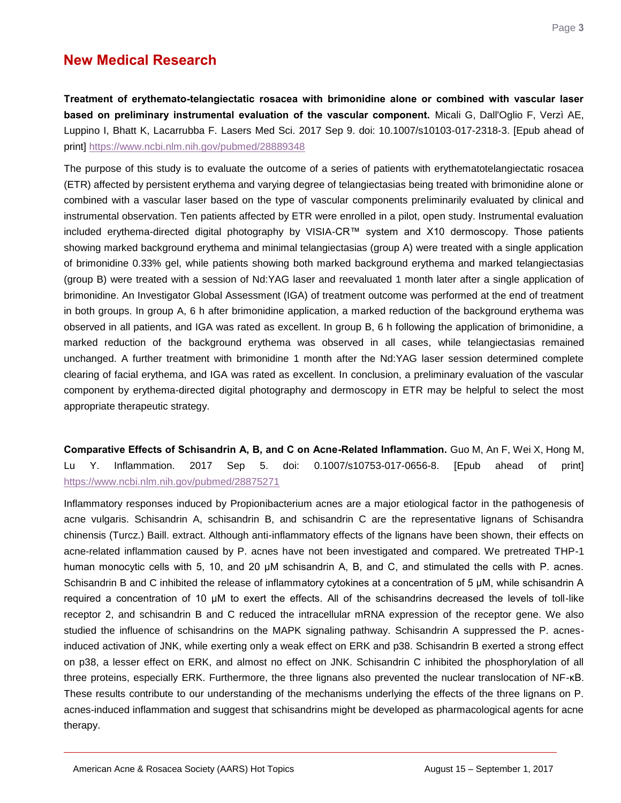### **New Medical Research**

<span id="page-3-0"></span>**Treatment of erythemato-telangiectatic rosacea with brimonidine alone or combined with vascular laser based on preliminary instrumental evaluation of the vascular component.** Micali G, Dall'Oglio F, Verzì AE, Luppino I, Bhatt K, Lacarrubba F. Lasers Med Sci. 2017 Sep 9. doi: 10.1007/s10103-017-2318-3. [Epub ahead of print]<https://www.ncbi.nlm.nih.gov/pubmed/28889348>

The purpose of this study is to evaluate the outcome of a series of patients with erythematotelangiectatic rosacea (ETR) affected by persistent erythema and varying degree of telangiectasias being treated with brimonidine alone or combined with a vascular laser based on the type of vascular components preliminarily evaluated by clinical and instrumental observation. Ten patients affected by ETR were enrolled in a pilot, open study. Instrumental evaluation included erythema-directed digital photography by VISIA-CR™ system and X10 dermoscopy. Those patients showing marked background erythema and minimal telangiectasias (group A) were treated with a single application of brimonidine 0.33% gel, while patients showing both marked background erythema and marked telangiectasias (group B) were treated with a session of Nd:YAG laser and reevaluated 1 month later after a single application of brimonidine. An Investigator Global Assessment (IGA) of treatment outcome was performed at the end of treatment in both groups. In group A, 6 h after brimonidine application, a marked reduction of the background erythema was observed in all patients, and IGA was rated as excellent. In group B, 6 h following the application of brimonidine, a marked reduction of the background erythema was observed in all cases, while telangiectasias remained unchanged. A further treatment with brimonidine 1 month after the Nd:YAG laser session determined complete clearing of facial erythema, and IGA was rated as excellent. In conclusion, a preliminary evaluation of the vascular component by erythema-directed digital photography and dermoscopy in ETR may be helpful to select the most appropriate therapeutic strategy.

<span id="page-3-1"></span>**Comparative Effects of Schisandrin A, B, and C on Acne-Related Inflammation.** Guo M, An F, Wei X, Hong M, Lu Y. Inflammation. 2017 Sep 5. doi: 0.1007/s10753-017-0656-8. [Epub ahead of print] <https://www.ncbi.nlm.nih.gov/pubmed/28875271>

Inflammatory responses induced by Propionibacterium acnes are a major etiological factor in the pathogenesis of acne vulgaris. Schisandrin A, schisandrin B, and schisandrin C are the representative lignans of Schisandra chinensis (Turcz.) Baill. extract. Although anti-inflammatory effects of the lignans have been shown, their effects on acne-related inflammation caused by P. acnes have not been investigated and compared. We pretreated THP-1 human monocytic cells with 5, 10, and 20 μM schisandrin A, B, and C, and stimulated the cells with P. acnes. Schisandrin B and C inhibited the release of inflammatory cytokines at a concentration of 5 μM, while schisandrin A required a concentration of 10 μM to exert the effects. All of the schisandrins decreased the levels of toll-like receptor 2, and schisandrin B and C reduced the intracellular mRNA expression of the receptor gene. We also studied the influence of schisandrins on the MAPK signaling pathway. Schisandrin A suppressed the P. acnesinduced activation of JNK, while exerting only a weak effect on ERK and p38. Schisandrin B exerted a strong effect on p38, a lesser effect on ERK, and almost no effect on JNK. Schisandrin C inhibited the phosphorylation of all three proteins, especially ERK. Furthermore, the three lignans also prevented the nuclear translocation of NF-κB. These results contribute to our understanding of the mechanisms underlying the effects of the three lignans on P. acnes-induced inflammation and suggest that schisandrins might be developed as pharmacological agents for acne therapy.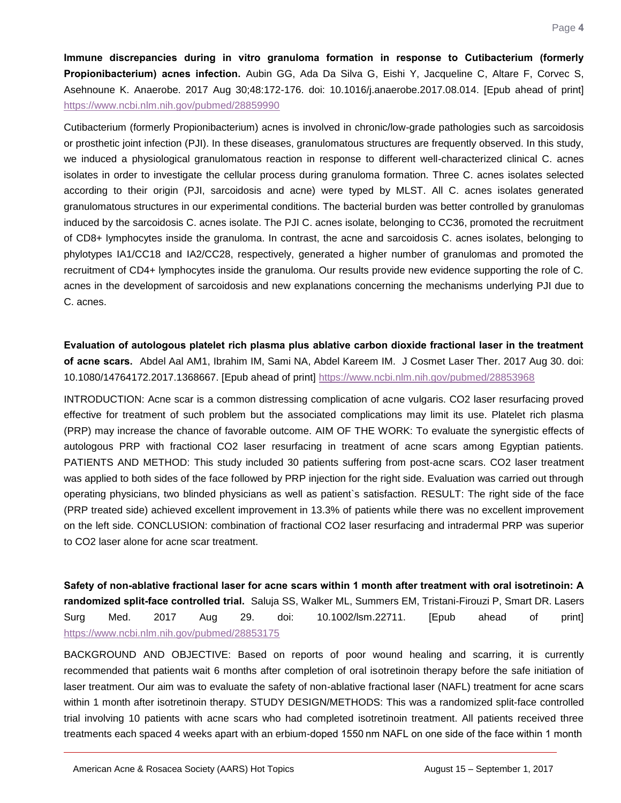<span id="page-4-0"></span>**Immune discrepancies during in vitro granuloma formation in response to Cutibacterium (formerly Propionibacterium) acnes infection.** Aubin GG, Ada Da Silva G, Eishi Y, Jacqueline C, Altare F, Corvec S, Asehnoune K. Anaerobe. 2017 Aug 30;48:172-176. doi: 10.1016/j.anaerobe.2017.08.014. [Epub ahead of print] <https://www.ncbi.nlm.nih.gov/pubmed/28859990>

Cutibacterium (formerly Propionibacterium) acnes is involved in chronic/low-grade pathologies such as sarcoidosis or prosthetic joint infection (PJI). In these diseases, granulomatous structures are frequently observed. In this study, we induced a physiological granulomatous reaction in response to different well-characterized clinical C. acnes isolates in order to investigate the cellular process during granuloma formation. Three C. acnes isolates selected according to their origin (PJI, sarcoidosis and acne) were typed by MLST. All C. acnes isolates generated granulomatous structures in our experimental conditions. The bacterial burden was better controlled by granulomas induced by the sarcoidosis C. acnes isolate. The PJI C. acnes isolate, belonging to CC36, promoted the recruitment of CD8+ lymphocytes inside the granuloma. In contrast, the acne and sarcoidosis C. acnes isolates, belonging to phylotypes IA1/CC18 and IA2/CC28, respectively, generated a higher number of granulomas and promoted the recruitment of CD4+ lymphocytes inside the granuloma. Our results provide new evidence supporting the role of C. acnes in the development of sarcoidosis and new explanations concerning the mechanisms underlying PJI due to C. acnes.

<span id="page-4-1"></span>**Evaluation of autologous platelet rich plasma plus ablative carbon dioxide fractional laser in the treatment of acne scars.** Abdel Aal AM1, Ibrahim IM, Sami NA, Abdel Kareem IM. J Cosmet Laser Ther. 2017 Aug 30. doi: 10.1080/14764172.2017.1368667. [Epub ahead of print]<https://www.ncbi.nlm.nih.gov/pubmed/28853968>

INTRODUCTION: Acne scar is a common distressing complication of acne vulgaris. CO2 laser resurfacing proved effective for treatment of such problem but the associated complications may limit its use. Platelet rich plasma (PRP) may increase the chance of favorable outcome. AIM OF THE WORK: To evaluate the synergistic effects of autologous PRP with fractional CO2 laser resurfacing in treatment of acne scars among Egyptian patients. PATIENTS AND METHOD: This study included 30 patients suffering from post-acne scars. CO2 laser treatment was applied to both sides of the face followed by PRP injection for the right side. Evaluation was carried out through operating physicians, two blinded physicians as well as patient`s satisfaction. RESULT: The right side of the face (PRP treated side) achieved excellent improvement in 13.3% of patients while there was no excellent improvement on the left side. CONCLUSION: combination of fractional CO2 laser resurfacing and intradermal PRP was superior to CO2 laser alone for acne scar treatment.

<span id="page-4-2"></span>**Safety of non-ablative fractional laser for acne scars within 1 month after treatment with oral isotretinoin: A randomized split-face controlled trial.** Saluja SS, Walker ML, Summers EM, Tristani-Firouzi P, Smart DR. Lasers Surg Med. 2017 Aug 29. doi: 10.1002/lsm.22711. [Epub ahead of print] <https://www.ncbi.nlm.nih.gov/pubmed/28853175>

BACKGROUND AND OBJECTIVE: Based on reports of poor wound healing and scarring, it is currently recommended that patients wait 6 months after completion of oral isotretinoin therapy before the safe initiation of laser treatment. Our aim was to evaluate the safety of non-ablative fractional laser (NAFL) treatment for acne scars within 1 month after isotretinoin therapy. STUDY DESIGN/METHODS: This was a randomized split-face controlled trial involving 10 patients with acne scars who had completed isotretinoin treatment. All patients received three treatments each spaced 4 weeks apart with an erbium-doped 1550 nm NAFL on one side of the face within 1 month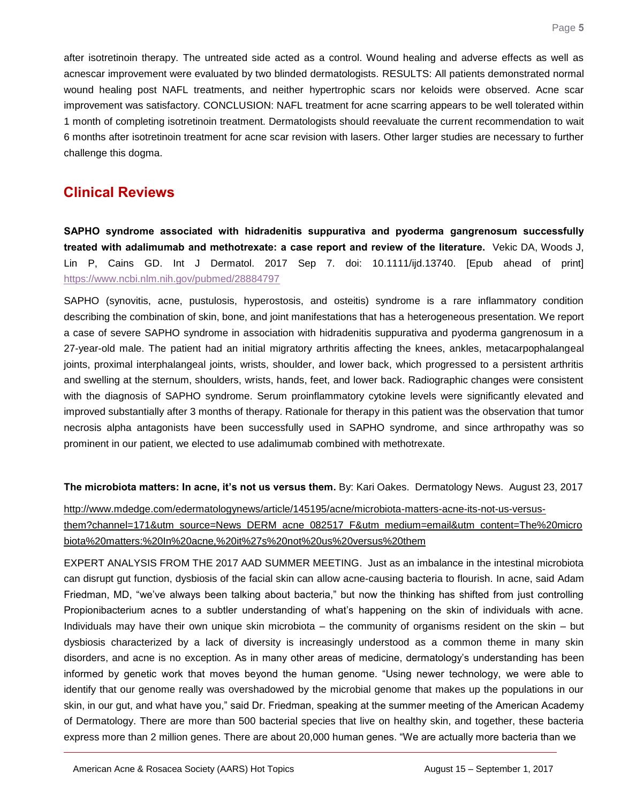after isotretinoin therapy. The untreated side acted as a control. Wound healing and adverse effects as well as acnescar improvement were evaluated by two blinded dermatologists. RESULTS: All patients demonstrated normal wound healing post NAFL treatments, and neither hypertrophic scars nor keloids were observed. Acne scar improvement was satisfactory. CONCLUSION: NAFL treatment for acne scarring appears to be well tolerated within 1 month of completing isotretinoin treatment. Dermatologists should reevaluate the current recommendation to wait 6 months after isotretinoin treatment for acne scar revision with lasers. Other larger studies are necessary to further challenge this dogma.

### **Clinical Reviews**

<span id="page-5-0"></span>**SAPHO syndrome associated with hidradenitis suppurativa and pyoderma gangrenosum successfully treated with adalimumab and methotrexate: a case report and review of the literature.** Vekic DA, Woods J, Lin P, Cains GD. Int J Dermatol. 2017 Sep 7. doi: 10.1111/ijd.13740. [Epub ahead of print] <https://www.ncbi.nlm.nih.gov/pubmed/28884797>

SAPHO (synovitis, acne, pustulosis, hyperostosis, and osteitis) syndrome is a rare inflammatory condition describing the combination of skin, bone, and joint manifestations that has a heterogeneous presentation. We report a case of severe SAPHO syndrome in association with hidradenitis suppurativa and pyoderma gangrenosum in a 27-year-old male. The patient had an initial migratory arthritis affecting the knees, ankles, metacarpophalangeal joints, proximal interphalangeal joints, wrists, shoulder, and lower back, which progressed to a persistent arthritis and swelling at the sternum, shoulders, wrists, hands, feet, and lower back. Radiographic changes were consistent with the diagnosis of SAPHO syndrome. Serum proinflammatory cytokine levels were significantly elevated and improved substantially after 3 months of therapy. Rationale for therapy in this patient was the observation that tumor necrosis alpha antagonists have been successfully used in SAPHO syndrome, and since arthropathy was so prominent in our patient, we elected to use adalimumab combined with methotrexate.

**The microbiota matters: In acne, it's not us versus them.** By: Kari Oakes. Dermatology News. August 23, 2017

[http://www.mdedge.com/edermatologynews/article/145195/acne/microbiota-matters-acne-its-not-us-versus](http://www.mdedge.com/edermatologynews/article/145195/acne/microbiota-matters-acne-its-not-us-versus-them?channel=171&utm_source=News_DERM_acne_082517_F&utm_medium=email&utm_content=The%20microbiota%20matters:%20In%20acne,%20it%27s%20not%20us%20versus%20them)[them?channel=171&utm\\_source=News\\_DERM\\_acne\\_082517\\_F&utm\\_medium=email&utm\\_content=The%20micro](http://www.mdedge.com/edermatologynews/article/145195/acne/microbiota-matters-acne-its-not-us-versus-them?channel=171&utm_source=News_DERM_acne_082517_F&utm_medium=email&utm_content=The%20microbiota%20matters:%20In%20acne,%20it%27s%20not%20us%20versus%20them) [biota%20matters:%20In%20acne,%20it%27s%20not%20us%20versus%20them](http://www.mdedge.com/edermatologynews/article/145195/acne/microbiota-matters-acne-its-not-us-versus-them?channel=171&utm_source=News_DERM_acne_082517_F&utm_medium=email&utm_content=The%20microbiota%20matters:%20In%20acne,%20it%27s%20not%20us%20versus%20them)

EXPERT ANALYSIS FROM THE 2017 AAD SUMMER MEETING. Just as an imbalance in the intestinal microbiota can disrupt gut function, dysbiosis of the facial skin can allow acne-causing bacteria to flourish. In acne, said Adam Friedman, MD, "we've always been talking about bacteria," but now the thinking has shifted from just controlling Propionibacterium acnes to a subtler understanding of what's happening on the skin of individuals with acne. Individuals may have their own unique skin microbiota – the community of organisms resident on the skin – but dysbiosis characterized by a lack of diversity is increasingly understood as a common theme in many skin disorders, and acne is no exception. As in many other areas of medicine, dermatology's understanding has been informed by genetic work that moves beyond the human genome. "Using newer technology, we were able to identify that our genome really was overshadowed by the microbial genome that makes up the populations in our skin, in our gut, and what have you," said Dr. Friedman, speaking at the summer meeting of the American Academy of Dermatology. There are more than 500 bacterial species that live on healthy skin, and together, these bacteria express more than 2 million genes. There are about 20,000 human genes. "We are actually more bacteria than we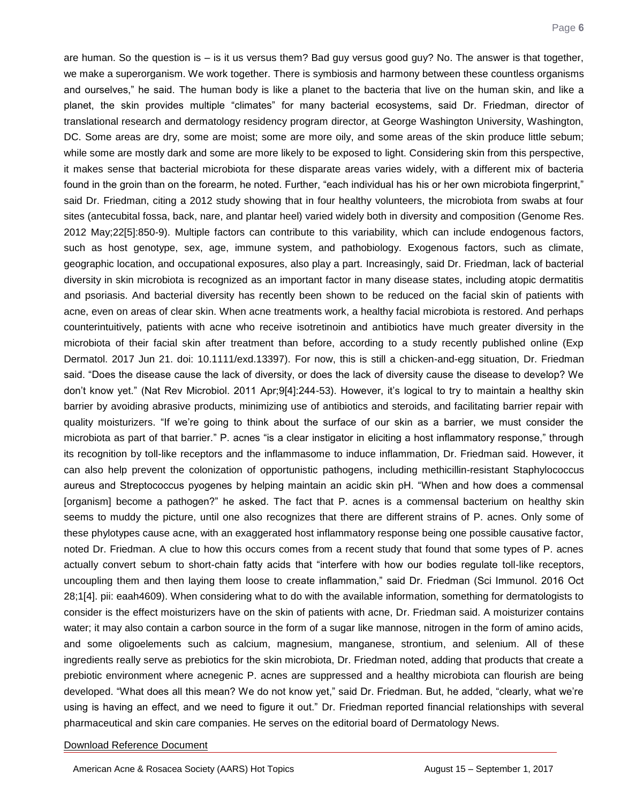are human. So the question is – is it us versus them? Bad guy versus good guy? No. The answer is that together, we make a superorganism. We work together. There is symbiosis and harmony between these countless organisms and ourselves," he said. The human body is like a planet to the bacteria that live on the human skin, and like a planet, the skin provides multiple "climates" for many bacterial ecosystems, said Dr. Friedman, director of translational research and dermatology residency program director, at George Washington University, Washington, DC. Some areas are dry, some are moist; some are more oily, and some areas of the skin produce little sebum; while some are mostly dark and some are more likely to be exposed to light. Considering skin from this perspective, it makes sense that bacterial microbiota for these disparate areas varies widely, with a different mix of bacteria found in the groin than on the forearm, he noted. Further, "each individual has his or her own microbiota fingerprint," said Dr. Friedman, citing a 2012 study showing that in four healthy volunteers, the microbiota from swabs at four sites (antecubital fossa, back, nare, and plantar heel) varied widely both in diversity and composition (Genome Res. 2012 May;22[5]:850-9). Multiple factors can contribute to this variability, which can include endogenous factors, such as host genotype, sex, age, immune system, and pathobiology. Exogenous factors, such as climate, geographic location, and occupational exposures, also play a part. Increasingly, said Dr. Friedman, lack of bacterial diversity in skin microbiota is recognized as an important factor in many disease states, including atopic dermatitis and psoriasis. And bacterial diversity has recently been shown to be reduced on the facial skin of patients with acne, even on areas of clear skin. When acne treatments work, a healthy facial microbiota is restored. And perhaps counterintuitively, patients with acne who receive isotretinoin and antibiotics have much greater diversity in the microbiota of their facial skin after treatment than before, according to a study recently published online (Exp Dermatol. 2017 Jun 21. doi: 10.1111/exd.13397). For now, this is still a chicken-and-egg situation, Dr. Friedman said. "Does the disease cause the lack of diversity, or does the lack of diversity cause the disease to develop? We don't know yet." (Nat Rev Microbiol. 2011 Apr;9[4]:244-53). However, it's logical to try to maintain a healthy skin barrier by avoiding abrasive products, minimizing use of antibiotics and steroids, and facilitating barrier repair with quality moisturizers. "If we're going to think about the surface of our skin as a barrier, we must consider the microbiota as part of that barrier." P. acnes "is a clear instigator in eliciting a host inflammatory response," through its recognition by toll-like receptors and the inflammasome to induce inflammation, Dr. Friedman said. However, it can also help prevent the colonization of opportunistic pathogens, including methicillin-resistant Staphylococcus aureus and Streptococcus pyogenes by helping maintain an acidic skin pH. "When and how does a commensal [organism] become a pathogen?" he asked. The fact that P. acnes is a commensal bacterium on healthy skin seems to muddy the picture, until one also recognizes that there are different strains of P. acnes. Only some of these phylotypes cause acne, with an exaggerated host inflammatory response being one possible causative factor, noted Dr. Friedman. A clue to how this occurs comes from a recent study that found that some types of P. acnes actually convert sebum to short-chain fatty acids that "interfere with how our bodies regulate toll-like receptors, uncoupling them and then laying them loose to create inflammation," said Dr. Friedman (Sci Immunol. 2016 Oct 28;1[4]. pii: eaah4609). When considering what to do with the available information, something for dermatologists to consider is the effect moisturizers have on the skin of patients with acne, Dr. Friedman said. A moisturizer contains water; it may also contain a carbon source in the form of a sugar like mannose, nitrogen in the form of amino acids, and some oligoelements such as calcium, magnesium, manganese, strontium, and selenium. All of these ingredients really serve as prebiotics for the skin microbiota, Dr. Friedman noted, adding that products that create a prebiotic environment where acnegenic P. acnes are suppressed and a healthy microbiota can flourish are being developed. "What does all this mean? We do not know yet," said Dr. Friedman. But, he added, "clearly, what we're using is having an effect, and we need to figure it out." Dr. Friedman reported financial relationships with several pharmaceutical and skin care companies. He serves on the editorial board of Dermatology News.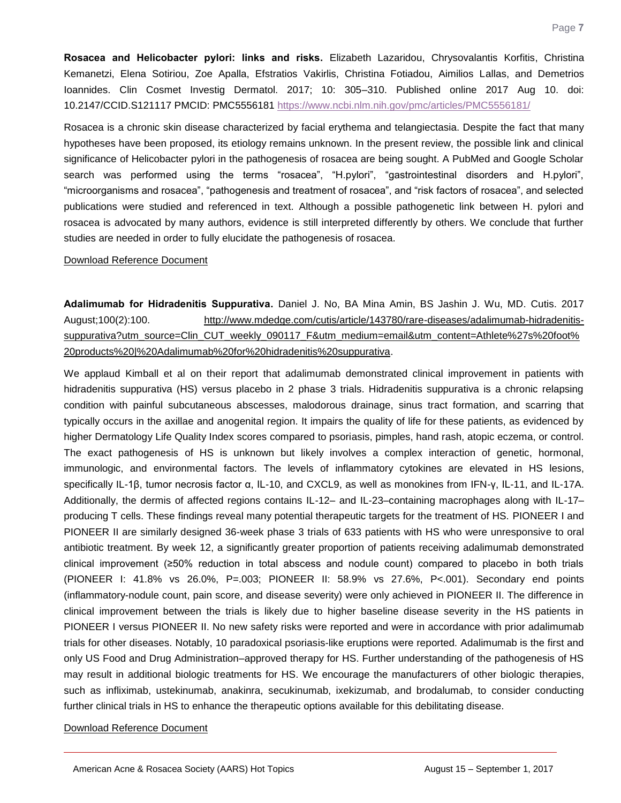<span id="page-7-0"></span>**Rosacea and Helicobacter pylori: links and risks.** Elizabeth Lazaridou, Chrysovalantis Korfitis, Christina Kemanetzi, Elena Sotiriou, Zoe Apalla, Efstratios Vakirlis, Christina Fotiadou, Aimilios Lallas, and Demetrios Ioannides. Clin Cosmet Investig Dermatol. 2017; 10: 305–310. Published online 2017 Aug 10. doi: 10.2147/CCID.S121117 PMCID: PMC5556181 <https://www.ncbi.nlm.nih.gov/pmc/articles/PMC5556181/>

Rosacea is a chronic skin disease characterized by facial erythema and telangiectasia. Despite the fact that many hypotheses have been proposed, its etiology remains unknown. In the present review, the possible link and clinical significance of Helicobacter pylori in the pathogenesis of rosacea are being sought. A PubMed and Google Scholar search was performed using the terms "rosacea", "H.pylori", "gastrointestinal disorders and H.pylori", "microorganisms and rosacea", "pathogenesis and treatment of rosacea", and "risk factors of rosacea", and selected publications were studied and referenced in text. Although a possible pathogenetic link between H. pylori and rosacea is advocated by many authors, evidence is still interpreted differently by others. We conclude that further studies are needed in order to fully elucidate the pathogenesis of rosacea.

#### [Download Reference Document](http://files.constantcontact.com/c2fa20d1101/6d95a5ed-f6eb-4e70-bf99-67ac64396224.pdf?ver=1505765633000)

<span id="page-7-1"></span>**Adalimumab for Hidradenitis Suppurativa.** Daniel J. No, BA Mina Amin, BS Jashin J. Wu, MD. Cutis. 2017 August;100(2):100. [http://www.mdedge.com/cutis/article/143780/rare-diseases/adalimumab-hidradenitis](http://www.mdedge.com/cutis/article/143780/rare-diseases/adalimumab-hidradenitis-suppurativa?utm_source=Clin_CUT_weekly_090117_F&utm_medium=email&utm_content=Athlete%27s%20foot%20products%20|%20Adalimumab%20for%20hidradenitis%20suppurativa)[suppurativa?utm\\_source=Clin\\_CUT\\_weekly\\_090117\\_F&utm\\_medium=email&utm\\_content=Athlete%27s%20foot%](http://www.mdedge.com/cutis/article/143780/rare-diseases/adalimumab-hidradenitis-suppurativa?utm_source=Clin_CUT_weekly_090117_F&utm_medium=email&utm_content=Athlete%27s%20foot%20products%20|%20Adalimumab%20for%20hidradenitis%20suppurativa) [20products%20|%20Adalimumab%20for%20hidradenitis%20suppurativa.](http://www.mdedge.com/cutis/article/143780/rare-diseases/adalimumab-hidradenitis-suppurativa?utm_source=Clin_CUT_weekly_090117_F&utm_medium=email&utm_content=Athlete%27s%20foot%20products%20|%20Adalimumab%20for%20hidradenitis%20suppurativa)

We applaud Kimball et al on their report that adalimumab demonstrated clinical improvement in patients with hidradenitis suppurativa (HS) versus placebo in 2 phase 3 trials. Hidradenitis suppurativa is a chronic relapsing condition with painful subcutaneous abscesses, malodorous drainage, sinus tract formation, and scarring that typically occurs in the axillae and anogenital region. It impairs the quality of life for these patients, as evidenced by higher Dermatology Life Quality Index scores compared to psoriasis, pimples, hand rash, atopic eczema, or control. The exact pathogenesis of HS is unknown but likely involves a complex interaction of genetic, hormonal, immunologic, and environmental factors. The levels of inflammatory cytokines are elevated in HS lesions, specifically IL-1β, tumor necrosis factor α, IL-10, and CXCL9, as well as monokines from IFN-γ, IL-11, and IL-17A. Additionally, the dermis of affected regions contains IL-12– and IL-23–containing macrophages along with IL-17– producing T cells. These findings reveal many potential therapeutic targets for the treatment of HS. PIONEER I and PIONEER II are similarly designed 36-week phase 3 trials of 633 patients with HS who were unresponsive to oral antibiotic treatment. By week 12, a significantly greater proportion of patients receiving adalimumab demonstrated clinical improvement (≥50% reduction in total abscess and nodule count) compared to placebo in both trials (PIONEER I: 41.8% vs 26.0%, P=.003; PIONEER II: 58.9% vs 27.6%, P<.001). Secondary end points (inflammatory-nodule count, pain score, and disease severity) were only achieved in PIONEER II. The difference in clinical improvement between the trials is likely due to higher baseline disease severity in the HS patients in PIONEER I versus PIONEER II. No new safety risks were reported and were in accordance with prior adalimumab trials for other diseases. Notably, 10 paradoxical psoriasis-like eruptions were reported. Adalimumab is the first and only US Food and Drug Administration–approved therapy for HS. Further understanding of the pathogenesis of HS may result in additional biologic treatments for HS. We encourage the manufacturers of other biologic therapies, such as infliximab, ustekinumab, anakinra, secukinumab, ixekizumab, and brodalumab, to consider conducting further clinical trials in HS to enhance the therapeutic options available for this debilitating disease.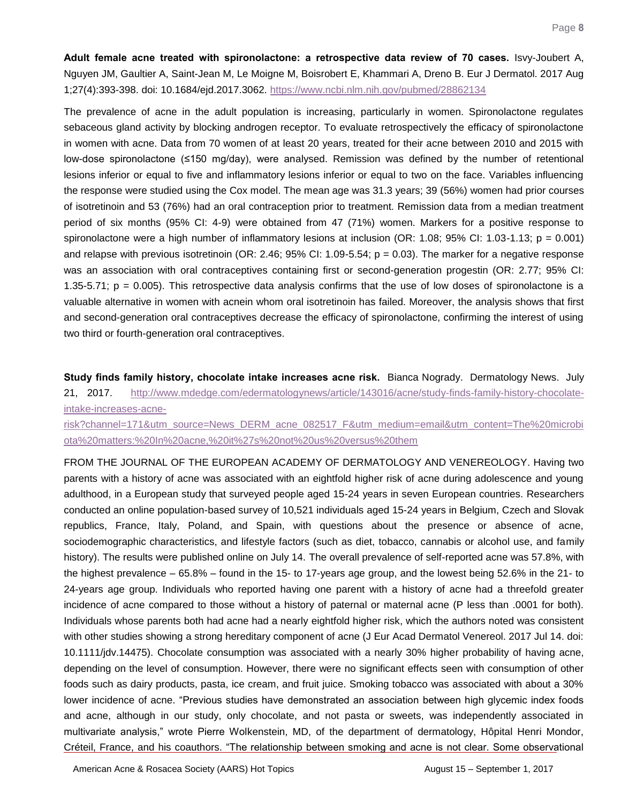<span id="page-8-0"></span>**Adult female acne treated with spironolactone: a retrospective data review of 70 cases.** Isvy-Joubert A, Nguyen JM, Gaultier A, Saint-Jean M, Le Moigne M, Boisrobert E, Khammari A, Dreno B. Eur J Dermatol. 2017 Aug 1;27(4):393-398. doi: 10.1684/ejd.2017.3062.<https://www.ncbi.nlm.nih.gov/pubmed/28862134>

The prevalence of acne in the adult population is increasing, particularly in women. Spironolactone regulates sebaceous gland activity by blocking androgen receptor. To evaluate retrospectively the efficacy of spironolactone in women with acne. Data from 70 women of at least 20 years, treated for their acne between 2010 and 2015 with low-dose spironolactone (≤150 mg/day), were analysed. Remission was defined by the number of retentional lesions inferior or equal to five and inflammatory lesions inferior or equal to two on the face. Variables influencing the response were studied using the Cox model. The mean age was 31.3 years; 39 (56%) women had prior courses of isotretinoin and 53 (76%) had an oral contraception prior to treatment. Remission data from a median treatment period of six months (95% CI: 4-9) were obtained from 47 (71%) women. Markers for a positive response to spironolactone were a high number of inflammatory lesions at inclusion (OR: 1.08; 95% CI: 1.03-1.13; p = 0.001) and relapse with previous isotretinoin (OR: 2.46; 95% CI: 1.09-5.54;  $p = 0.03$ ). The marker for a negative response was an association with oral contraceptives containing first or second-generation progestin (OR: 2.77; 95% CI: 1.35-5.71;  $p = 0.005$ ). This retrospective data analysis confirms that the use of low doses of spironolactone is a valuable alternative in women with acnein whom oral isotretinoin has failed. Moreover, the analysis shows that first and second-generation oral contraceptives decrease the efficacy of spironolactone, confirming the interest of using two third or fourth-generation oral contraceptives.

<span id="page-8-1"></span>**Study finds family history, chocolate intake increases acne risk.** Bianca Nogrady. Dermatology News. July 21, 2017. [http://www.mdedge.com/edermatologynews/article/143016/acne/study-finds-family-history-chocolate](http://www.mdedge.com/edermatologynews/article/143016/acne/study-finds-family-history-chocolate-intake-increases-acne-risk?channel=171&utm_source=News_DERM_acne_082517_F&utm_medium=email&utm_content=The%20microbiota%20matters:%20In%20acne,%20it%27s%20not%20us%20versus%20them)[intake-increases-acne-](http://www.mdedge.com/edermatologynews/article/143016/acne/study-finds-family-history-chocolate-intake-increases-acne-risk?channel=171&utm_source=News_DERM_acne_082517_F&utm_medium=email&utm_content=The%20microbiota%20matters:%20In%20acne,%20it%27s%20not%20us%20versus%20them)

[risk?channel=171&utm\\_source=News\\_DERM\\_acne\\_082517\\_F&utm\\_medium=email&utm\\_content=The%20microbi](http://www.mdedge.com/edermatologynews/article/143016/acne/study-finds-family-history-chocolate-intake-increases-acne-risk?channel=171&utm_source=News_DERM_acne_082517_F&utm_medium=email&utm_content=The%20microbiota%20matters:%20In%20acne,%20it%27s%20not%20us%20versus%20them) [ota%20matters:%20In%20acne,%20it%27s%20not%20us%20versus%20them](http://www.mdedge.com/edermatologynews/article/143016/acne/study-finds-family-history-chocolate-intake-increases-acne-risk?channel=171&utm_source=News_DERM_acne_082517_F&utm_medium=email&utm_content=The%20microbiota%20matters:%20In%20acne,%20it%27s%20not%20us%20versus%20them)

FROM THE JOURNAL OF THE EUROPEAN ACADEMY OF DERMATOLOGY AND VENEREOLOGY. Having two parents with a history of acne was associated with an eightfold higher risk of acne during adolescence and young adulthood, in a European study that surveyed people aged 15-24 years in seven European countries. Researchers conducted an online population-based survey of 10,521 individuals aged 15-24 years in Belgium, Czech and Slovak republics, France, Italy, Poland, and Spain, with questions about the presence or absence of acne, sociodemographic characteristics, and lifestyle factors (such as diet, tobacco, cannabis or alcohol use, and family history). The results were published online on July 14. The overall prevalence of self-reported acne was 57.8%, with the highest prevalence – 65.8% – found in the 15- to 17-years age group, and the lowest being 52.6% in the 21- to 24-years age group. Individuals who reported having one parent with a history of acne had a threefold greater incidence of acne compared to those without a history of paternal or maternal acne (P less than .0001 for both). Individuals whose parents both had acne had a nearly eightfold higher risk, which the authors noted was consistent with other studies showing a strong hereditary component of acne (J Eur Acad Dermatol Venereol. 2017 Jul 14. doi: 10.1111/jdv.14475). Chocolate consumption was associated with a nearly 30% higher probability of having acne, depending on the level of consumption. However, there were no significant effects seen with consumption of other foods such as dairy products, pasta, ice cream, and fruit juice. Smoking tobacco was associated with about a 30% lower incidence of acne. "Previous studies have demonstrated an association between high glycemic index foods and acne, although in our study, only chocolate, and not pasta or sweets, was independently associated in multivariate analysis," wrote Pierre Wolkenstein, MD, of the department of dermatology, Hôpital Henri Mondor, Créteil, France, and his coauthors. "The relationship between smoking and acne is not clear. Some observational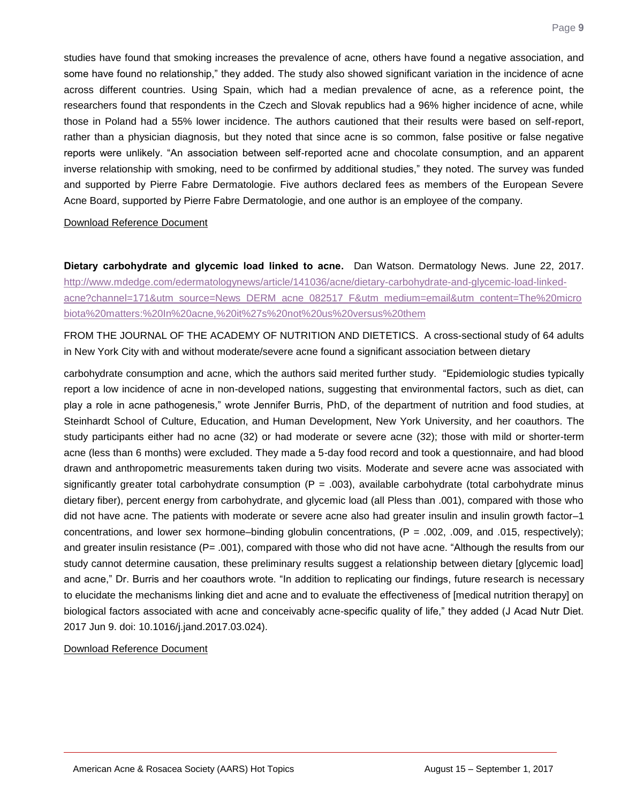studies have found that smoking increases the prevalence of acne, others have found a negative association, and some have found no relationship," they added. The study also showed significant variation in the incidence of acne across different countries. Using Spain, which had a median prevalence of acne, as a reference point, the researchers found that respondents in the Czech and Slovak republics had a 96% higher incidence of acne, while those in Poland had a 55% lower incidence. The authors cautioned that their results were based on self-report, rather than a physician diagnosis, but they noted that since acne is so common, false positive or false negative reports were unlikely. "An association between self-reported acne and chocolate consumption, and an apparent inverse relationship with smoking, need to be confirmed by additional studies," they noted. The survey was funded and supported by Pierre Fabre Dermatologie. Five authors declared fees as members of the European Severe Acne Board, supported by Pierre Fabre Dermatologie, and one author is an employee of the company.

#### [Download Reference Document](http://files.constantcontact.com/c2fa20d1101/b3389167-8e5f-4de9-a187-44a020474ae9.pdf?ver=1505765626000)

<span id="page-9-0"></span>**Dietary carbohydrate and glycemic load linked to acne.** Dan Watson. Dermatology News. June 22, 2017. [http://www.mdedge.com/edermatologynews/article/141036/acne/dietary-carbohydrate-and-glycemic-load-linked](http://www.mdedge.com/edermatologynews/article/141036/acne/dietary-carbohydrate-and-glycemic-load-linked-acne?channel=171&utm_source=News_DERM_acne_082517_F&utm_medium=email&utm_content=The%20microbiota%20matters:%20In%20acne,%20it%27s%20not%20us%20versus%20them)[acne?channel=171&utm\\_source=News\\_DERM\\_acne\\_082517\\_F&utm\\_medium=email&utm\\_content=The%20micro](http://www.mdedge.com/edermatologynews/article/141036/acne/dietary-carbohydrate-and-glycemic-load-linked-acne?channel=171&utm_source=News_DERM_acne_082517_F&utm_medium=email&utm_content=The%20microbiota%20matters:%20In%20acne,%20it%27s%20not%20us%20versus%20them) [biota%20matters:%20In%20acne,%20it%27s%20not%20us%20versus%20them](http://www.mdedge.com/edermatologynews/article/141036/acne/dietary-carbohydrate-and-glycemic-load-linked-acne?channel=171&utm_source=News_DERM_acne_082517_F&utm_medium=email&utm_content=The%20microbiota%20matters:%20In%20acne,%20it%27s%20not%20us%20versus%20them)

FROM THE JOURNAL OF THE ACADEMY OF NUTRITION AND DIETETICS. A cross-sectional study of 64 adults in New York City with and without moderate/severe acne found a significant association between dietary

carbohydrate consumption and acne, which the authors said merited further study. "Epidemiologic studies typically report a low incidence of acne in non-developed nations, suggesting that environmental factors, such as diet, can play a role in acne pathogenesis," wrote Jennifer Burris, PhD, of the department of nutrition and food studies, at Steinhardt School of Culture, Education, and Human Development, New York University, and her coauthors. The study participants either had no acne (32) or had moderate or severe acne (32); those with mild or shorter-term acne (less than 6 months) were excluded. They made a 5-day food record and took a questionnaire, and had blood drawn and anthropometric measurements taken during two visits. Moderate and severe acne was associated with significantly greater total carbohydrate consumption  $(P = .003)$ , available carbohydrate (total carbohydrate minus dietary fiber), percent energy from carbohydrate, and glycemic load (all Pless than .001), compared with those who did not have acne. The patients with moderate or severe acne also had greater insulin and insulin growth factor–1 concentrations, and lower sex hormone–binding globulin concentrations,  $(P = .002, .009,$  and  $.015,$  respectively); and greater insulin resistance ( $P = .001$ ), compared with those who did not have acne. "Although the results from our study cannot determine causation, these preliminary results suggest a relationship between dietary [glycemic load] and acne," Dr. Burris and her coauthors wrote. "In addition to replicating our findings, future research is necessary to elucidate the mechanisms linking diet and acne and to evaluate the effectiveness of [medical nutrition therapy] on biological factors associated with acne and conceivably acne-specific quality of life," they added (J Acad Nutr Diet. 2017 Jun 9. doi: 10.1016/j.jand.2017.03.024).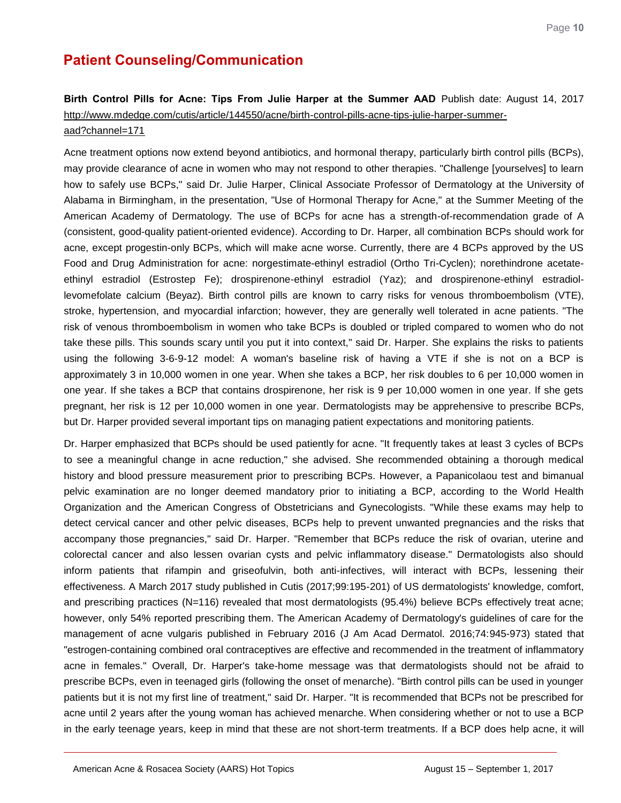### **Patient Counseling/Communication**

### <span id="page-10-0"></span>**Birth Control Pills for Acne: Tips From Julie Harper at the Summer AAD** Publish date: August 14, 2017 [http://www.mdedge.com/cutis/article/144550/acne/birth-control-pills-acne-tips-julie-harper-summer](http://www.mdedge.com/cutis/article/144550/acne/birth-control-pills-acne-tips-julie-harper-summer-aad?channel=171)[aad?channel=171](http://www.mdedge.com/cutis/article/144550/acne/birth-control-pills-acne-tips-julie-harper-summer-aad?channel=171)

Acne treatment options now extend beyond antibiotics, and hormonal therapy, particularly birth control pills (BCPs), may provide clearance of acne in women who may not respond to other therapies. "Challenge [yourselves] to learn how to safely use BCPs," said Dr. Julie Harper, Clinical Associate Professor of Dermatology at the University of Alabama in Birmingham, in the presentation, "Use of Hormonal Therapy for Acne," at the Summer Meeting of the American Academy of Dermatology. The use of BCPs for acne has a strength-of-recommendation grade of A (consistent, good-quality patient-oriented evidence). According to Dr. Harper, all combination BCPs should work for acne, except progestin-only BCPs, which will make acne worse. Currently, there are 4 BCPs approved by the US Food and Drug Administration for acne: norgestimate-ethinyl estradiol (Ortho Tri-Cyclen); norethindrone acetateethinyl estradiol (Estrostep Fe); drospirenone-ethinyl estradiol (Yaz); and drospirenone-ethinyl estradiollevomefolate calcium (Beyaz). Birth control pills are known to carry risks for venous thromboembolism (VTE), stroke, hypertension, and myocardial infarction; however, they are generally well tolerated in acne patients. "The risk of venous thromboembolism in women who take BCPs is doubled or tripled compared to women who do not take these pills. This sounds scary until you put it into context," said Dr. Harper. She explains the risks to patients using the following 3-6-9-12 model: A woman's baseline risk of having a VTE if she is not on a BCP is approximately 3 in 10,000 women in one year. When she takes a BCP, her risk doubles to 6 per 10,000 women in one year. If she takes a BCP that contains drospirenone, her risk is 9 per 10,000 women in one year. If she gets pregnant, her risk is 12 per 10,000 women in one year. Dermatologists may be apprehensive to prescribe BCPs, but Dr. Harper provided several important tips on managing patient expectations and monitoring patients.

Dr. Harper emphasized that BCPs should be used patiently for acne. "It frequently takes at least 3 cycles of BCPs to see a meaningful change in acne reduction," she advised. She recommended obtaining a thorough medical history and blood pressure measurement prior to prescribing BCPs. However, a Papanicolaou test and bimanual pelvic examination are no longer deemed mandatory prior to initiating a BCP, according to the World Health Organization and the American Congress of Obstetricians and Gynecologists. "While these exams may help to detect cervical cancer and other pelvic diseases, BCPs help to prevent unwanted pregnancies and the risks that accompany those pregnancies," said Dr. Harper. "Remember that BCPs reduce the risk of ovarian, uterine and colorectal cancer and also lessen ovarian cysts and pelvic inflammatory disease." Dermatologists also should inform patients that rifampin and griseofulvin, both anti-infectives, will interact with BCPs, lessening their effectiveness. A March 2017 study published in Cutis (2017;99:195-201) of US dermatologists' knowledge, comfort, and prescribing practices (N=116) revealed that most dermatologists (95.4%) believe BCPs effectively treat acne; however, only 54% reported prescribing them. The American Academy of Dermatology's guidelines of care for the management of acne vulgaris published in February 2016 (J Am Acad Dermatol. 2016;74:945-973) stated that "estrogen-containing combined oral contraceptives are effective and recommended in the treatment of inflammatory acne in females." Overall, Dr. Harper's take-home message was that dermatologists should not be afraid to prescribe BCPs, even in teenaged girls (following the onset of menarche). "Birth control pills can be used in younger patients but it is not my first line of treatment," said Dr. Harper. "It is recommended that BCPs not be prescribed for acne until 2 years after the young woman has achieved menarche. When considering whether or not to use a BCP in the early teenage years, keep in mind that these are not short-term treatments. If a BCP does help acne, it will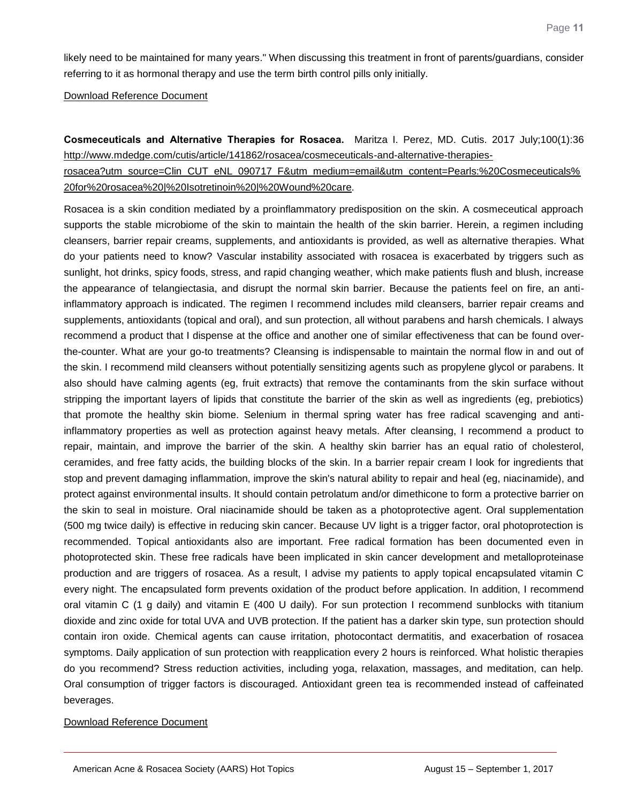likely need to be maintained for many years." When discussing this treatment in front of parents/guardians, consider referring to it as hormonal therapy and use the term birth control pills only initially.

[Download Reference Document](http://files.constantcontact.com/c2fa20d1101/a244d8c0-87ce-4c75-9521-d1a02b389ff7.pdf?ver=1505765630000)

<span id="page-11-0"></span>**Cosmeceuticals and Alternative Therapies for Rosacea.** Maritza I. Perez, MD. Cutis. 2017 July;100(1):36 [http://www.mdedge.com/cutis/article/141862/rosacea/cosmeceuticals-and-alternative-therapies-](http://www.mdedge.com/cutis/article/141862/rosacea/cosmeceuticals-and-alternative-therapies-rosacea?utm_source=Clin_CUT_eNL_090717_F&utm_medium=email&utm_content=Pearls:%20Cosmeceuticals%20for%20rosacea%20|%20Isotretinoin%20|%20Wound%20care)

[rosacea?utm\\_source=Clin\\_CUT\\_eNL\\_090717\\_F&utm\\_medium=email&utm\\_content=Pearls:%20Cosmeceuticals%](http://www.mdedge.com/cutis/article/141862/rosacea/cosmeceuticals-and-alternative-therapies-rosacea?utm_source=Clin_CUT_eNL_090717_F&utm_medium=email&utm_content=Pearls:%20Cosmeceuticals%20for%20rosacea%20|%20Isotretinoin%20|%20Wound%20care) [20for%20rosacea%20|%20Isotretinoin%20|%20Wound%20care.](http://www.mdedge.com/cutis/article/141862/rosacea/cosmeceuticals-and-alternative-therapies-rosacea?utm_source=Clin_CUT_eNL_090717_F&utm_medium=email&utm_content=Pearls:%20Cosmeceuticals%20for%20rosacea%20|%20Isotretinoin%20|%20Wound%20care)

Rosacea is a skin condition mediated by a proinflammatory predisposition on the skin. A cosmeceutical approach supports the stable microbiome of the skin to maintain the health of the skin barrier. Herein, a regimen including cleansers, barrier repair creams, supplements, and antioxidants is provided, as well as alternative therapies. What do your patients need to know? Vascular instability associated with rosacea is exacerbated by triggers such as sunlight, hot drinks, spicy foods, stress, and rapid changing weather, which make patients flush and blush, increase the appearance of telangiectasia, and disrupt the normal skin barrier. Because the patients feel on fire, an antiinflammatory approach is indicated. The regimen I recommend includes mild cleansers, barrier repair creams and supplements, antioxidants (topical and oral), and sun protection, all without parabens and harsh chemicals. I always recommend a product that I dispense at the office and another one of similar effectiveness that can be found overthe-counter. What are your go-to treatments? Cleansing is indispensable to maintain the normal flow in and out of the skin. I recommend mild cleansers without potentially sensitizing agents such as propylene glycol or parabens. It also should have calming agents (eg, fruit extracts) that remove the contaminants from the skin surface without stripping the important layers of lipids that constitute the barrier of the skin as well as ingredients (eg, prebiotics) that promote the healthy skin biome. Selenium in thermal spring water has free radical scavenging and antiinflammatory properties as well as protection against heavy metals. After cleansing, I recommend a product to repair, maintain, and improve the barrier of the skin. A healthy skin barrier has an equal ratio of cholesterol, ceramides, and free fatty acids, the building blocks of the skin. In a barrier repair cream I look for ingredients that stop and prevent damaging inflammation, improve the skin's natural ability to repair and heal (eg, niacinamide), and protect against environmental insults. It should contain petrolatum and/or dimethicone to form a protective barrier on the skin to seal in moisture. Oral niacinamide should be taken as a photoprotective agent. Oral supplementation (500 mg twice daily) is effective in reducing skin cancer. Because UV light is a trigger factor, oral photoprotection is recommended. Topical antioxidants also are important. Free radical formation has been documented even in photoprotected skin. These free radicals have been implicated in skin cancer development and metalloproteinase production and are triggers of rosacea. As a result, I advise my patients to apply topical encapsulated vitamin C every night. The encapsulated form prevents oxidation of the product before application. In addition, I recommend oral vitamin C (1 g daily) and vitamin E (400 U daily). For sun protection I recommend sunblocks with titanium dioxide and zinc oxide for total UVA and UVB protection. If the patient has a darker skin type, sun protection should contain iron oxide. Chemical agents can cause irritation, photocontact dermatitis, and exacerbation of rosacea symptoms. Daily application of sun protection with reapplication every 2 hours is reinforced. What holistic therapies do you recommend? Stress reduction activities, including yoga, relaxation, massages, and meditation, can help. Oral consumption of trigger factors is discouraged. Antioxidant green tea is recommended instead of caffeinated beverages.